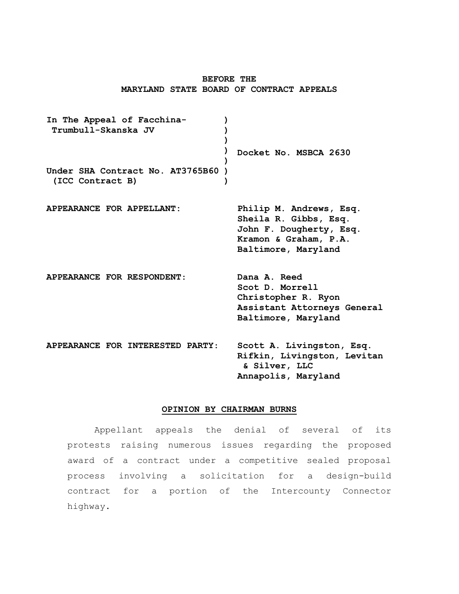# **BEFORE THE MARYLAND STATE BOARD OF CONTRACT APPEALS**

**In The Appeal of Facchina-Trumbull-Skanska JV Under SHA Contract No. AT3765B60 ) (ICC Contract B) ) ) ) ) ) ) Docket No. MSBCA 2630 APPEARANCE FOR APPELLANT: Philip M. Andrews, Esq. Sheila R. Gibbs, Esq. John F. Dougherty, Esq. Kramon & Graham, P.A. Baltimore, Maryland APPEARANCE FOR RESPONDENT**: **Dana A. Reed Scot D. Morrell Christopher R. Ryon Assistant Attorneys General Baltimore, Maryland APPEARANCE FOR INTERESTED PARTY**: **Scott A. Livingston, Esq. Rifkin, Livingston, Levitan & Silver, LLC Annapolis, Maryland**

#### **OPINION BY CHAIRMAN BURNS**

Appellant appeals the denial of several of its protests raising numerous issues regarding the proposed award of a contract under a competitive sealed proposal process involving a solicitation for a design-build contract for a portion of the Intercounty Connector highway.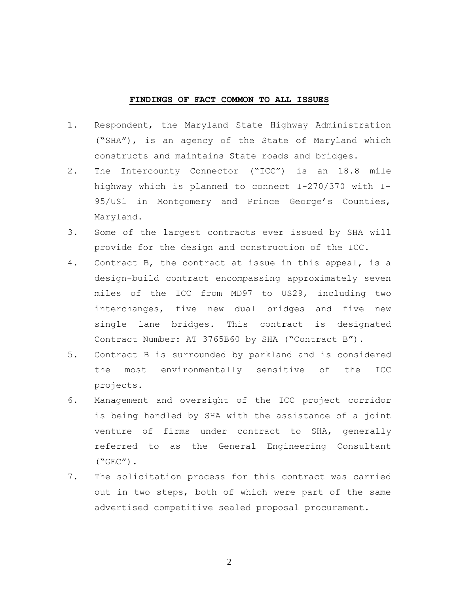# **FINDINGS OF FACT COMMON TO ALL ISSUES**

- 1. Respondent, the Maryland State Highway Administration ("SHA"), is an agency of the State of Maryland which constructs and maintains State roads and bridges.
- 2. The Intercounty Connector ("ICC") is an 18.8 mile highway which is planned to connect I-270/370 with I-95/US1 in Montgomery and Prince George's Counties, Maryland.
- 3. Some of the largest contracts ever issued by SHA will provide for the design and construction of the ICC.
- 4. Contract B, the contract at issue in this appeal, is a design-build contract encompassing approximately seven miles of the ICC from MD97 to US29, including two interchanges, five new dual bridges and five new single lane bridges. This contract is designated Contract Number: AT 3765B60 by SHA ("Contract B").
- 5. Contract B is surrounded by parkland and is considered the most environmentally sensitive of the ICC projects.
- 6. Management and oversight of the ICC project corridor is being handled by SHA with the assistance of a joint venture of firms under contract to SHA, generally referred to as the General Engineering Consultant  $($ "GEC" $)$ .
- 7. The solicitation process for this contract was carried out in two steps, both of which were part of the same advertised competitive sealed proposal procurement.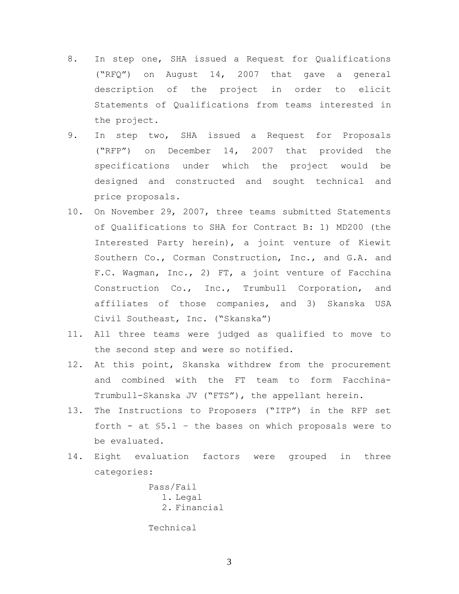- 8. In step one, SHA issued a Request for Qualifications ("RFQ") on August 14, 2007 that gave a general description of the project in order to elicit Statements of Qualifications from teams interested in the project.
- 9. In step two, SHA issued a Request for Proposals ("RFP") on December 14, 2007 that provided the specifications under which the project would be designed and constructed and sought technical and price proposals.
- 10. On November 29, 2007, three teams submitted Statements of Qualifications to SHA for Contract B: 1) MD200 (the Interested Party herein), a joint venture of Kiewit Southern Co., Corman Construction, Inc., and G.A. and F.C. Wagman, Inc., 2) FT, a joint venture of Facchina Construction Co., Inc., Trumbull Corporation, and affiliates of those companies, and 3) Skanska USA Civil Southeast, Inc. ("Skanska")
- 11. All three teams were judged as qualified to move to the second step and were so notified.
- 12. At this point, Skanska withdrew from the procurement and combined with the FT team to form Facchina-Trumbull-Skanska JV ("FTS"), the appellant herein.
- 13. The Instructions to Proposers ("ITP") in the RFP set forth - at §5.1 – the bases on which proposals were to be evaluated.
- 14. Eight evaluation factors were grouped in three categories:

Pass/Fail 1. Legal 2. Financial

Technical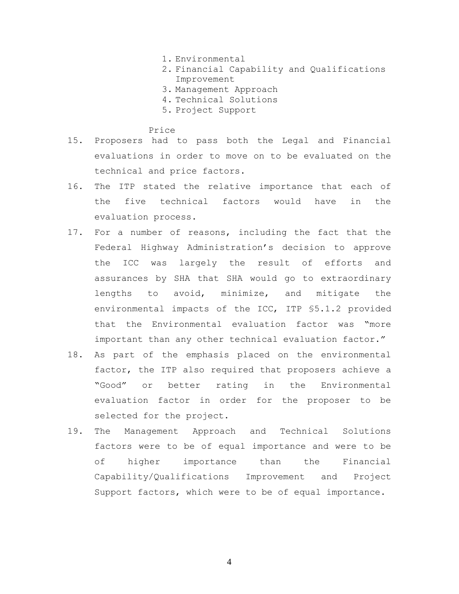- 1. Environmental
- 2. Financial Capability and Qualifications Improvement
- 3. Management Approach
- 4. Technical Solutions
- 5. Project Support

Price

- 15. Proposers had to pass both the Legal and Financial evaluations in order to move on to be evaluated on the technical and price factors.
- 16. The ITP stated the relative importance that each of the five technical factors would have in the evaluation process.
- 17. For a number of reasons, including the fact that the Federal Highway Administration's decision to approve the ICC was largely the result of efforts and assurances by SHA that SHA would go to extraordinary lengths to avoid, minimize, and mitigate the environmental impacts of the ICC, ITP §5.1.2 provided that the Environmental evaluation factor was "more important than any other technical evaluation factor."
- 18. As part of the emphasis placed on the environmental factor, the ITP also required that proposers achieve a "Good" or better rating in the Environmental evaluation factor in order for the proposer to be selected for the project.
- 19. The Management Approach and Technical Solutions factors were to be of equal importance and were to be of higher importance than the Financial Capability/Qualifications Improvement and Project Support factors, which were to be of equal importance.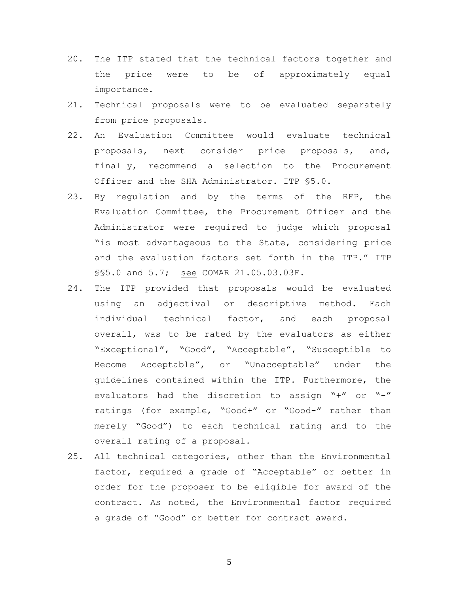- 20. The ITP stated that the technical factors together and the price were to be of approximately equal importance.
- 21. Technical proposals were to be evaluated separately from price proposals.
- 22. An Evaluation Committee would evaluate technical proposals, next consider price proposals, and, finally, recommend a selection to the Procurement Officer and the SHA Administrator. ITP §5.0.
- 23. By regulation and by the terms of the RFP, the Evaluation Committee, the Procurement Officer and the Administrator were required to judge which proposal "is most advantageous to the State, considering price and the evaluation factors set forth in the ITP." ITP §§5.0 and 5.7; see COMAR 21.05.03.03F.
- 24. The ITP provided that proposals would be evaluated using an adjectival or descriptive method. Each individual technical factor, and each proposal overall, was to be rated by the evaluators as either "Exceptional", "Good", "Acceptable", "Susceptible to Become Acceptable", or "Unacceptable" under the guidelines contained within the ITP. Furthermore, the evaluators had the discretion to assign "+" or "-" ratings (for example, "Good+" or "Good-" rather than merely "Good") to each technical rating and to the overall rating of a proposal.
- 25. All technical categories, other than the Environmental factor, required a grade of "Acceptable" or better in order for the proposer to be eligible for award of the contract. As noted, the Environmental factor required a grade of "Good" or better for contract award.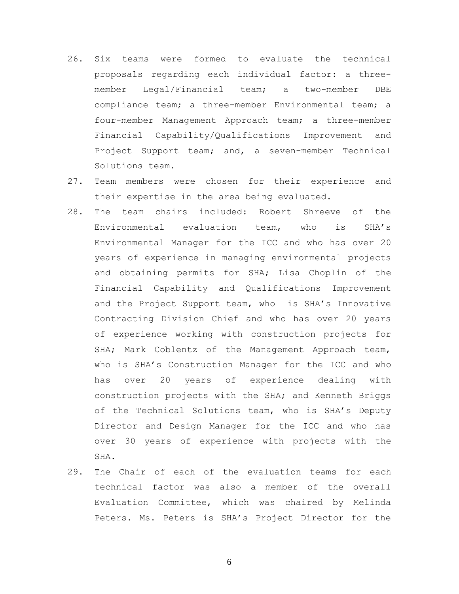- 26. Six teams were formed to evaluate the technical proposals regarding each individual factor: a threemember Legal/Financial team; a two-member DBE compliance team; a three-member Environmental team; a four-member Management Approach team; a three-member Financial Capability/Qualifications Improvement and Project Support team; and, a seven-member Technical Solutions team.
- 27. Team members were chosen for their experience and their expertise in the area being evaluated.
- 28. The team chairs included: Robert Shreeve of the Environmental evaluation team, who is SHA's Environmental Manager for the ICC and who has over 20 years of experience in managing environmental projects and obtaining permits for SHA; Lisa Choplin of the Financial Capability and Qualifications Improvement and the Project Support team, who is SHA's Innovative Contracting Division Chief and who has over 20 years of experience working with construction projects for SHA; Mark Coblentz of the Management Approach team, who is SHA's Construction Manager for the ICC and who has over 20 years of experience dealing with construction projects with the SHA; and Kenneth Briggs of the Technical Solutions team, who is SHA's Deputy Director and Design Manager for the ICC and who has over 30 years of experience with projects with the SHA.
- 29. The Chair of each of the evaluation teams for each technical factor was also a member of the overall Evaluation Committee, which was chaired by Melinda Peters. Ms. Peters is SHA's Project Director for the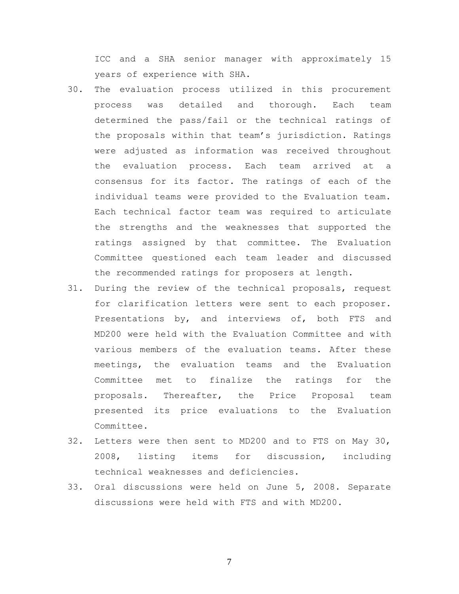ICC and a SHA senior manager with approximately 15 years of experience with SHA.

- 30. The evaluation process utilized in this procurement process was detailed and thorough. Each team determined the pass/fail or the technical ratings of the proposals within that team's jurisdiction. Ratings were adjusted as information was received throughout the evaluation process. Each team arrived at a consensus for its factor. The ratings of each of the individual teams were provided to the Evaluation team. Each technical factor team was required to articulate the strengths and the weaknesses that supported the ratings assigned by that committee. The Evaluation Committee questioned each team leader and discussed the recommended ratings for proposers at length.
- 31. During the review of the technical proposals, request for clarification letters were sent to each proposer. Presentations by, and interviews of, both FTS and MD200 were held with the Evaluation Committee and with various members of the evaluation teams. After these meetings, the evaluation teams and the Evaluation Committee met to finalize the ratings for the proposals. Thereafter, the Price Proposal team presented its price evaluations to the Evaluation Committee.
- 32. Letters were then sent to MD200 and to FTS on May 30, 2008, listing items for discussion, including technical weaknesses and deficiencies.
- 33. Oral discussions were held on June 5, 2008. Separate discussions were held with FTS and with MD200.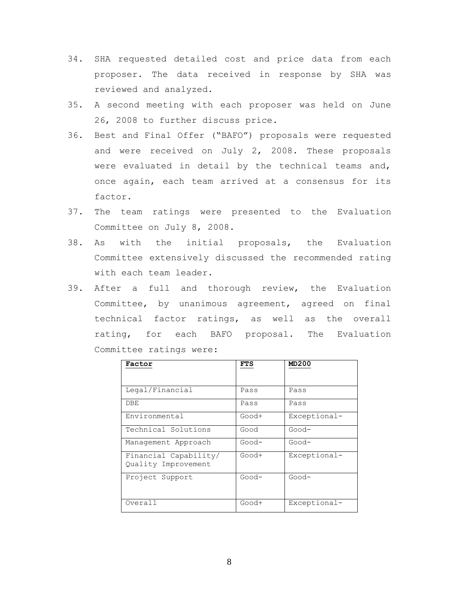- 34. SHA requested detailed cost and price data from each proposer. The data received in response by SHA was reviewed and analyzed.
- 35. A second meeting with each proposer was held on June 26, 2008 to further discuss price.
- 36. Best and Final Offer ("BAFO") proposals were requested and were received on July 2, 2008. These proposals were evaluated in detail by the technical teams and, once again, each team arrived at a consensus for its factor.
- 37. The team ratings were presented to the Evaluation Committee on July 8, 2008.
- 38. As with the initial proposals, the Evaluation Committee extensively discussed the recommended rating with each team leader.
- 39. After a full and thorough review, the Evaluation Committee, by unanimous agreement, agreed on final technical factor ratings, as well as the overall rating, for each BAFO proposal. The Evaluation Committee ratings were:

| Factor                                       | <b>FTS</b> | MD200        |
|----------------------------------------------|------------|--------------|
|                                              |            |              |
| Legal/Financial                              | Pass       | Pass         |
| DBE                                          | Pass       | Pass         |
| Environmental                                | Good+      | Exceptional- |
| Technical Solutions                          | Good       | Good-        |
| Management Approach                          | Good-      | Good-        |
| Financial Capability/<br>Quality Improvement | Good+      | Exceptional- |
| Project Support                              | Good-      | $Good-$      |
| Overall                                      | Good+      | Exceptional- |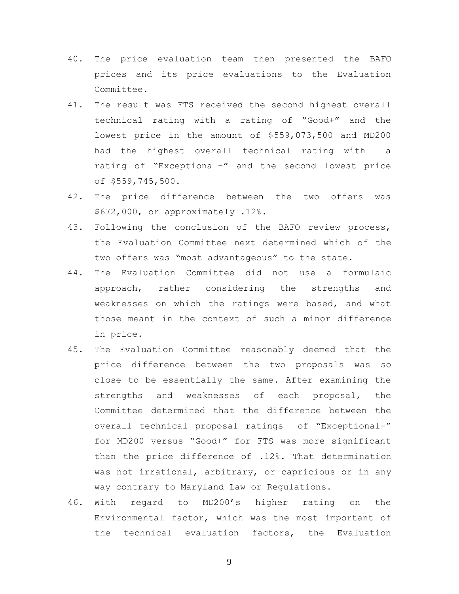- 40. The price evaluation team then presented the BAFO prices and its price evaluations to the Evaluation Committee.
- 41. The result was FTS received the second highest overall technical rating with a rating of "Good+" and the lowest price in the amount of \$559,073,500 and MD200 had the highest overall technical rating with a rating of "Exceptional-" and the second lowest price of \$559,745,500.
- 42. The price difference between the two offers was \$672,000, or approximately .12%.
- 43. Following the conclusion of the BAFO review process, the Evaluation Committee next determined which of the two offers was "most advantageous" to the state.
- 44. The Evaluation Committee did not use a formulaic approach, rather considering the strengths and weaknesses on which the ratings were based, and what those meant in the context of such a minor difference in price.
- 45. The Evaluation Committee reasonably deemed that the price difference between the two proposals was so close to be essentially the same. After examining the strengths and weaknesses of each proposal, the Committee determined that the difference between the overall technical proposal ratings of "Exceptional-" for MD200 versus "Good+" for FTS was more significant than the price difference of .12%. That determination was not irrational, arbitrary, or capricious or in any way contrary to Maryland Law or Regulations.
- 46. With regard to MD200's higher rating on the Environmental factor, which was the most important of the technical evaluation factors, the Evaluation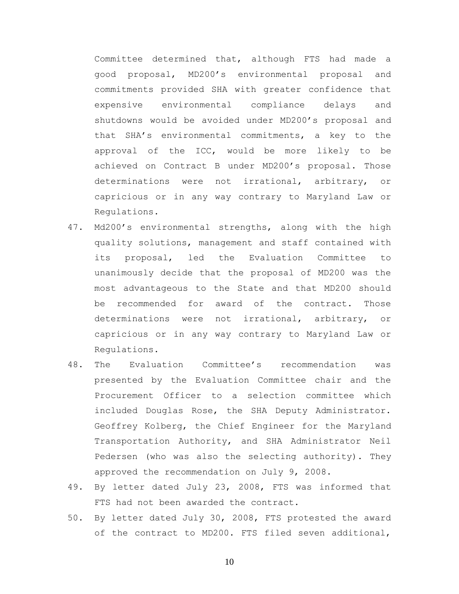Committee determined that, although FTS had made a good proposal, MD200's environmental proposal and commitments provided SHA with greater confidence that expensive environmental compliance delays and shutdowns would be avoided under MD200's proposal and that SHA's environmental commitments, a key to the approval of the ICC, would be more likely to be achieved on Contract B under MD200's proposal. Those determinations were not irrational, arbitrary, or capricious or in any way contrary to Maryland Law or Regulations.

- 47. Md200's environmental strengths, along with the high quality solutions, management and staff contained with its proposal, led the Evaluation Committee to unanimously decide that the proposal of MD200 was the most advantageous to the State and that MD200 should be recommended for award of the contract. Those determinations were not irrational, arbitrary, or capricious or in any way contrary to Maryland Law or Regulations.
- 48. The Evaluation Committee's recommendation was presented by the Evaluation Committee chair and the Procurement Officer to a selection committee which included Douglas Rose, the SHA Deputy Administrator. Geoffrey Kolberg, the Chief Engineer for the Maryland Transportation Authority, and SHA Administrator Neil Pedersen (who was also the selecting authority). They approved the recommendation on July 9, 2008.
- 49. By letter dated July 23, 2008, FTS was informed that FTS had not been awarded the contract.
- 50. By letter dated July 30, 2008, FTS protested the award of the contract to MD200. FTS filed seven additional,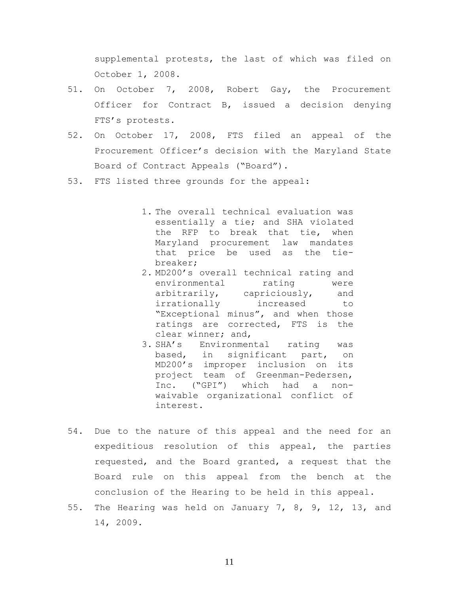supplemental protests, the last of which was filed on October 1, 2008.

- 51. On October 7, 2008, Robert Gay, the Procurement Officer for Contract B, issued a decision denying FTS's protests.
- 52. On October 17, 2008, FTS filed an appeal of the Procurement Officer's decision with the Maryland State Board of Contract Appeals ("Board").
- 53. FTS listed three grounds for the appeal:
	- 1. The overall technical evaluation was essentially a tie; and SHA violated the RFP to break that tie, when Maryland procurement law mandates that price be used as the tiebreaker;
	- 2. MD200's overall technical rating and environmental rating were arbitrarily, capriciously, and irrationally increased to "Exceptional minus", and when those ratings are corrected, FTS is the clear winner; and,
	- 3. SHA's Environmental rating was based, in significant part, on MD200's improper inclusion on its project team of Greenman-Pedersen, Inc. ("GPI") which had a nonwaivable organizational conflict of interest.
- 54. Due to the nature of this appeal and the need for an expeditious resolution of this appeal, the parties requested, and the Board granted, a request that the Board rule on this appeal from the bench at the conclusion of the Hearing to be held in this appeal.
- 55. The Hearing was held on January 7, 8, 9, 12, 13, and 14, 2009.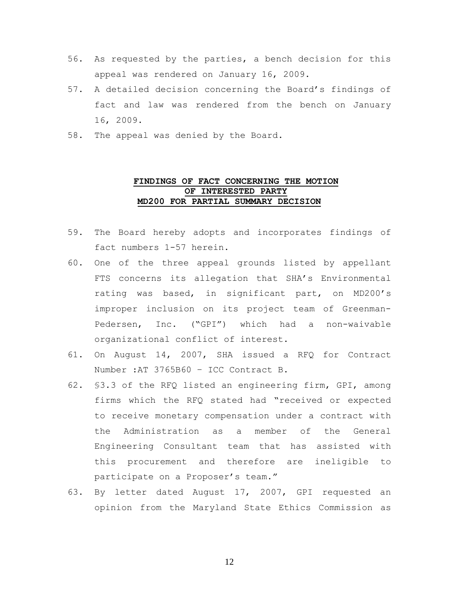- 56. As requested by the parties, a bench decision for this appeal was rendered on January 16, 2009.
- 57. A detailed decision concerning the Board's findings of fact and law was rendered from the bench on January 16, 2009.
- 58. The appeal was denied by the Board.

# **FINDINGS OF FACT CONCERNING THE MOTION OF INTERESTED PARTY MD200 FOR PARTIAL SUMMARY DECISION**

- 59. The Board hereby adopts and incorporates findings of fact numbers 1-57 herein.
- 60. One of the three appeal grounds listed by appellant FTS concerns its allegation that SHA's Environmental rating was based, in significant part, on MD200's improper inclusion on its project team of Greenman-Pedersen, Inc. ("GPI") which had a non-waivable organizational conflict of interest.
- 61. On August 14, 2007, SHA issued a RFQ for Contract Number :AT 3765B60 – ICC Contract B.
- 62. §3.3 of the RFQ listed an engineering firm, GPI, among firms which the RFQ stated had "received or expected to receive monetary compensation under a contract with the Administration as a member of the General Engineering Consultant team that has assisted with this procurement and therefore are ineligible to participate on a Proposer's team."
- 63. By letter dated August 17, 2007, GPI requested an opinion from the Maryland State Ethics Commission as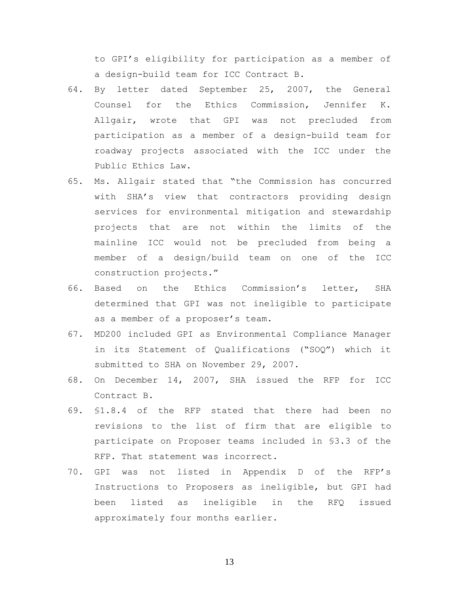to GPI's eligibility for participation as a member of a design-build team for ICC Contract B.

- 64. By letter dated September 25, 2007, the General Counsel for the Ethics Commission, Jennifer K. Allgair, wrote that GPI was not precluded from participation as a member of a design-build team for roadway projects associated with the ICC under the Public Ethics Law.
- 65. Ms. Allgair stated that "the Commission has concurred with SHA's view that contractors providing design services for environmental mitigation and stewardship projects that are not within the limits of the mainline ICC would not be precluded from being a member of a design/build team on one of the ICC construction projects."
- 66. Based on the Ethics Commission's letter, SHA determined that GPI was not ineligible to participate as a member of a proposer's team.
- 67. MD200 included GPI as Environmental Compliance Manager in its Statement of Qualifications ("SOQ") which it submitted to SHA on November 29, 2007.
- 68. On December 14, 2007, SHA issued the RFP for ICC Contract B.
- 69. §1.8.4 of the RFP stated that there had been no revisions to the list of firm that are eligible to participate on Proposer teams included in §3.3 of the RFP. That statement was incorrect.
- 70. GPI was not listed in Appendix D of the RFP's Instructions to Proposers as ineligible, but GPI had been listed as ineligible in the RFQ issued approximately four months earlier.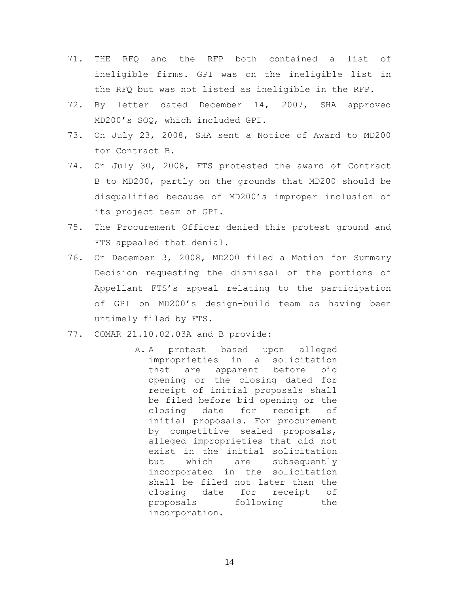- 71. THE RFQ and the RFP both contained a list of ineligible firms. GPI was on the ineligible list in the RFQ but was not listed as ineligible in the RFP.
- 72. By letter dated December 14, 2007, SHA approved MD200's SOQ, which included GPI.
- 73. On July 23, 2008, SHA sent a Notice of Award to MD200 for Contract B.
- 74. On July 30, 2008, FTS protested the award of Contract B to MD200, partly on the grounds that MD200 should be disqualified because of MD200's improper inclusion of its project team of GPI.
- 75. The Procurement Officer denied this protest ground and FTS appealed that denial.
- 76. On December 3, 2008, MD200 filed a Motion for Summary Decision requesting the dismissal of the portions of Appellant FTS's appeal relating to the participation of GPI on MD200's design-build team as having been untimely filed by FTS.
- 77. COMAR 21.10.02.03A and B provide:
	- A. A protest based upon alleged improprieties in a solicitation that are apparent before bid opening or the closing dated for receipt of initial proposals shall be filed before bid opening or the closing date for receipt of initial proposals. For procurement by competitive sealed proposals, alleged improprieties that did not exist in the initial solicitation but which are subsequently incorporated in the solicitation shall be filed not later than the closing date for receipt of proposals following the incorporation.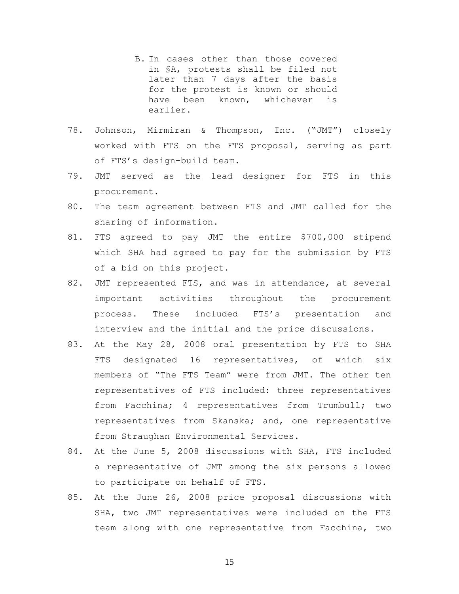- B. In cases other than those covered in §A, protests shall be filed not later than 7 days after the basis for the protest is known or should have been known, whichever is earlier.
- 78. Johnson, Mirmiran & Thompson, Inc. ("JMT") closely worked with FTS on the FTS proposal, serving as part of FTS's design-build team.
- 79. JMT served as the lead designer for FTS in this procurement.
- 80. The team agreement between FTS and JMT called for the sharing of information.
- 81. FTS agreed to pay JMT the entire \$700,000 stipend which SHA had agreed to pay for the submission by FTS of a bid on this project.
- 82. JMT represented FTS, and was in attendance, at several important activities throughout the procurement process. These included FTS's presentation and interview and the initial and the price discussions.
- 83. At the May 28, 2008 oral presentation by FTS to SHA FTS designated 16 representatives, of which six members of "The FTS Team" were from JMT. The other ten representatives of FTS included: three representatives from Facchina; 4 representatives from Trumbull; two representatives from Skanska; and, one representative from Straughan Environmental Services.
- 84. At the June 5, 2008 discussions with SHA, FTS included a representative of JMT among the six persons allowed to participate on behalf of FTS.
- 85. At the June 26, 2008 price proposal discussions with SHA, two JMT representatives were included on the FTS team along with one representative from Facchina, two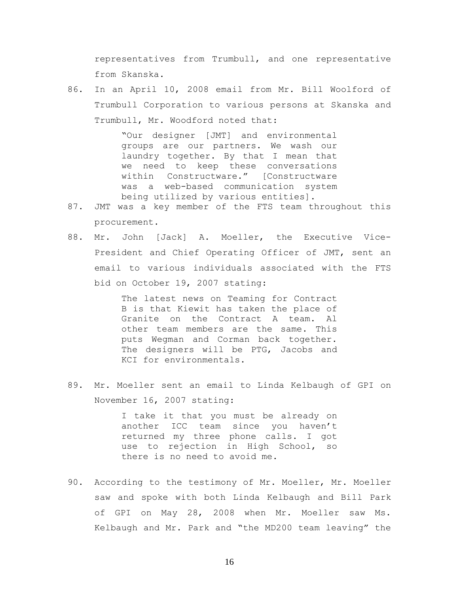representatives from Trumbull, and one representative from Skanska.

86. In an April 10, 2008 email from Mr. Bill Woolford of Trumbull Corporation to various persons at Skanska and Trumbull, Mr. Woodford noted that:

> "Our designer [JMT] and environmental groups are our partners. We wash our laundry together. By that I mean that we need to keep these conversations within Constructware." [Constructware was a web-based communication system being utilized by various entities].

- 87. JMT was a key member of the FTS team throughout this procurement.
- 88. Mr. John [Jack] A. Moeller, the Executive Vice-President and Chief Operating Officer of JMT, sent an email to various individuals associated with the FTS bid on October 19, 2007 stating:

The latest news on Teaming for Contract B is that Kiewit has taken the place of Granite on the Contract A team. Al other team members are the same. This puts Wegman and Corman back together. The designers will be PTG, Jacobs and KCI for environmentals.

89. Mr. Moeller sent an email to Linda Kelbaugh of GPI on November 16, 2007 stating:

> I take it that you must be already on another ICC team since you haven't returned my three phone calls. I got use to rejection in High School, so there is no need to avoid me.

90. According to the testimony of Mr. Moeller, Mr. Moeller saw and spoke with both Linda Kelbaugh and Bill Park of GPI on May 28, 2008 when Mr. Moeller saw Ms. Kelbaugh and Mr. Park and "the MD200 team leaving" the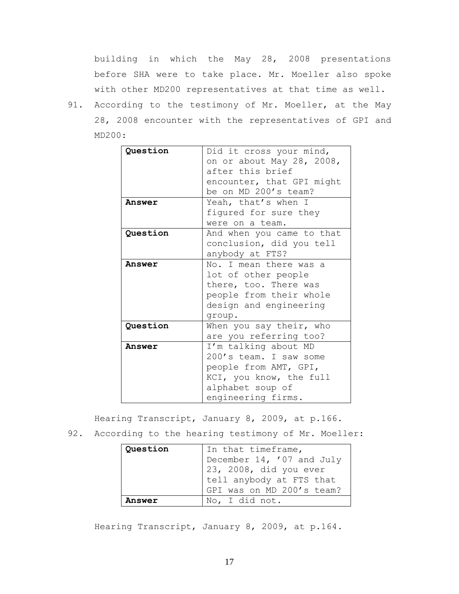building in which the May 28, 2008 presentations before SHA were to take place. Mr. Moeller also spoke with other MD200 representatives at that time as well.

91. According to the testimony of Mr. Moeller, at the May 28, 2008 encounter with the representatives of GPI and MD200:

| Ouestion | Did it cross your mind,<br>on or about May 28, 2008,<br>after this brief<br>encounter, that GPI might<br>be on MD 200's team?                |
|----------|----------------------------------------------------------------------------------------------------------------------------------------------|
| Answer   | Yeah, that's when I<br>figured for sure they<br>were on a team.                                                                              |
| Question | And when you came to that<br>conclusion, did you tell<br>anybody at FTS?                                                                     |
| Answer   | No. I mean there was a<br>lot of other people<br>there, too. There was<br>people from their whole<br>design and engineering<br>group.        |
| Question | When you say their, who<br>are you referring too?                                                                                            |
| Answer   | I'm talking about MD<br>200's team. I saw some<br>people from AMT, GPI,<br>KCI, you know, the full<br>alphabet soup of<br>engineering firms. |

Hearing Transcript, January 8, 2009, at p.166.

92. According to the hearing testimony of Mr. Moeller:

| Question | In that timeframe,        |  |
|----------|---------------------------|--|
|          | December 14, '07 and July |  |
|          | 23, 2008, did you ever    |  |
|          | tell anybody at FTS that  |  |
|          | GPI was on MD 200's team? |  |
| Answer   | No, I did not.            |  |

Hearing Transcript, January 8, 2009, at p.164.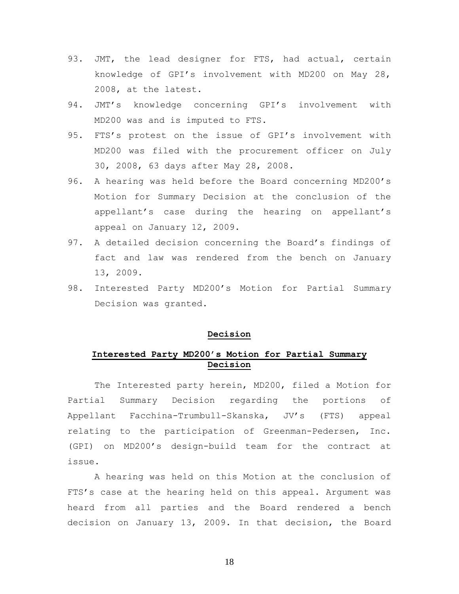- 93. JMT, the lead designer for FTS, had actual, certain knowledge of GPI's involvement with MD200 on May 28, 2008, at the latest.
- 94. JMT's knowledge concerning GPI's involvement with MD200 was and is imputed to FTS.
- 95. FTS's protest on the issue of GPI's involvement with MD200 was filed with the procurement officer on July 30, 2008, 63 days after May 28, 2008.
- 96. A hearing was held before the Board concerning MD200's Motion for Summary Decision at the conclusion of the appellant's case during the hearing on appellant's appeal on January 12, 2009.
- 97. A detailed decision concerning the Board's findings of fact and law was rendered from the bench on January 13, 2009.
- 98. Interested Party MD200's Motion for Partial Summary Decision was granted.

# **Decision**

# **Interested Party MD200's Motion for Partial Summary Decision**

The Interested party herein, MD200, filed a Motion for Partial Summary Decision regarding the portions of Appellant Facchina-Trumbull-Skanska, JV's (FTS) appeal relating to the participation of Greenman-Pedersen, Inc. (GPI) on MD200's design-build team for the contract at issue.

A hearing was held on this Motion at the conclusion of FTS's case at the hearing held on this appeal. Argument was heard from all parties and the Board rendered a bench decision on January 13, 2009. In that decision, the Board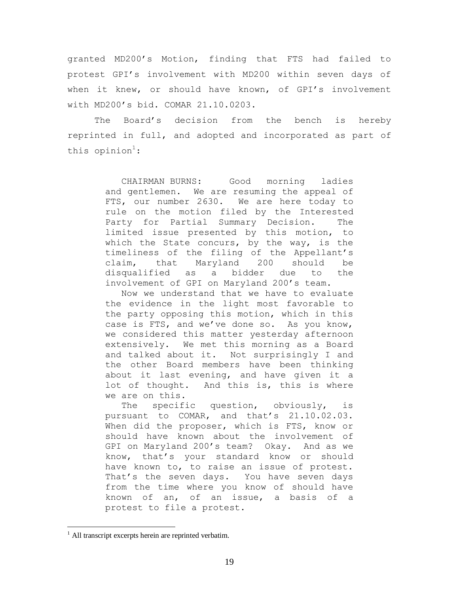granted MD200's Motion, finding that FTS had failed to protest GPI's involvement with MD200 within seven days of when it knew, or should have known, of GPI's involvement with MD200's bid. COMAR 21.10.0203.

The Board's decision from the bench is hereby reprinted in full, and adopted and incorporated as part of this opinion<sup>1</sup>:

> CHAIRMAN BURNS: Good morning ladies and gentlemen. We are resuming the appeal of<br>FTS, our number 2630. We are here today to We are here today to rule on the motion filed by the Interested Party for Partial Summary Decision. The limited issue presented by this motion, to which the State concurs, by the way, is the timeliness of the filing of the Appellant's claim, that Maryland 200 should be disqualified as a bidder due to the involvement of GPI on Maryland 200's team.

> Now we understand that we have to evaluate the evidence in the light most favorable to the party opposing this motion, which in this case is FTS, and we've done so. As you know, we considered this matter yesterday afternoon extensively. We met this morning as a Board and talked about it. Not surprisingly I and the other Board members have been thinking about it last evening, and have given it a lot of thought. And this is, this is where we are on this.

> The specific question, obviously, is pursuant to COMAR, and that's 21.10.02.03. When did the proposer, which is FTS, know or should have known about the involvement of GPI on Maryland 200's team? Okay. And as we know, that's your standard know or should have known to, to raise an issue of protest. That's the seven days. You have seven days from the time where you know of should have known of an, of an issue, a basis of a protest to file a protest.

<sup>&</sup>lt;sup>1</sup> All transcript excerpts herein are reprinted verbatim.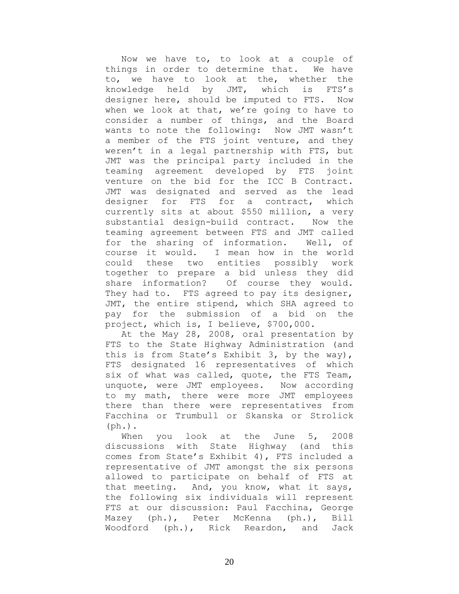Now we have to, to look at a couple of things in order to determine that. We have to, we have to look at the, whether the knowledge held by JMT, which is FTS's designer here, should be imputed to FTS. Now when we look at that, we're going to have to consider a number of things, and the Board wants to note the following: Now JMT wasn't a member of the FTS joint venture, and they weren't in a legal partnership with FTS, but JMT was the principal party included in the teaming agreement developed by FTS joint venture on the bid for the ICC B Contract. JMT was designated and served as the lead designer for FTS for a contract, which currently sits at about \$550 million, a very substantial design-build contract. Now the teaming agreement between FTS and JMT called for the sharing of information. Well, of course it would. I mean how in the world could these two entities possibly work together to prepare a bid unless they did share information? Of course they would. They had to. FTS agreed to pay its designer, JMT, the entire stipend, which SHA agreed to pay for the submission of a bid on the project, which is, I believe, \$700,000.

At the May 28, 2008, oral presentation by FTS to the State Highway Administration (and this is from State's Exhibit 3, by the way), FTS designated 16 representatives of which six of what was called, quote, the FTS Team, unquote, were JMT employees. Now according to my math, there were more JMT employees there than there were representatives from Facchina or Trumbull or Skanska or Strolick  $(\text{ph.})$ .

When you look at the June 5, 2008 discussions with State Highway (and this comes from State's Exhibit 4), FTS included a representative of JMT amongst the six persons allowed to participate on behalf of FTS at that meeting. And, you know, what it says, the following six individuals will represent FTS at our discussion: Paul Facchina, George Mazey (ph.), Peter McKenna (ph.), Bill Woodford (ph.), Rick Reardon, and Jack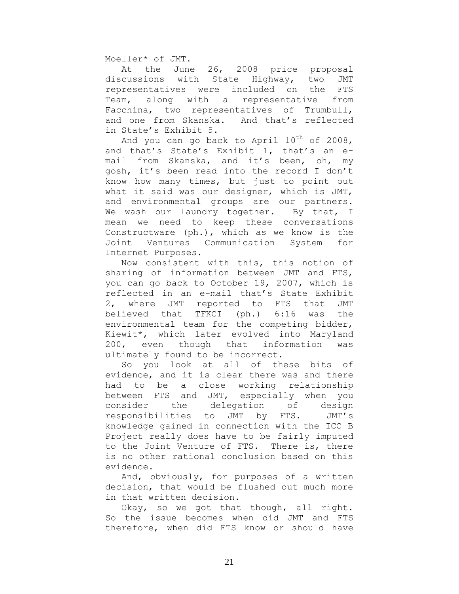Moeller\* of JMT.

At the June 26, 2008 price proposal discussions with State Highway, two JMT representatives were included on the FTS Team, along with a representative from Facchina, two representatives of Trumbull, and one from Skanska. And that's reflected in State's Exhibit 5.

And you can go back to April  $10^{th}$  of 2008, and that's State's Exhibit 1, that's an email from Skanska, and it's been, oh, my gosh, it's been read into the record I don't know how many times, but just to point out what it said was our designer, which is JMT, and environmental groups are our partners. We wash our laundry together. By that, I mean we need to keep these conversations Constructware (ph.), which as we know is the Joint Ventures Communication System for Internet Purposes.

Now consistent with this, this notion of sharing of information between JMT and FTS, you can go back to October 19, 2007, which is reflected in an e-mail that's State Exhibit 2, where JMT reported to FTS that JMT believed that TFKCI (ph.) 6:16 was the environmental team for the competing bidder, Kiewit\*, which later evolved into Maryland 200, even though that information was ultimately found to be incorrect.

So you look at all of these bits of evidence, and it is clear there was and there had to be a close working relationship between FTS and JMT, especially when you consider the delegation of design responsibilities to JMT by FTS. JMT's knowledge gained in connection with the ICC B Project really does have to be fairly imputed to the Joint Venture of FTS. There is, there is no other rational conclusion based on this evidence.

And, obviously, for purposes of a written decision, that would be flushed out much more in that written decision.

Okay, so we got that though, all right. So the issue becomes when did JMT and FTS therefore, when did FTS know or should have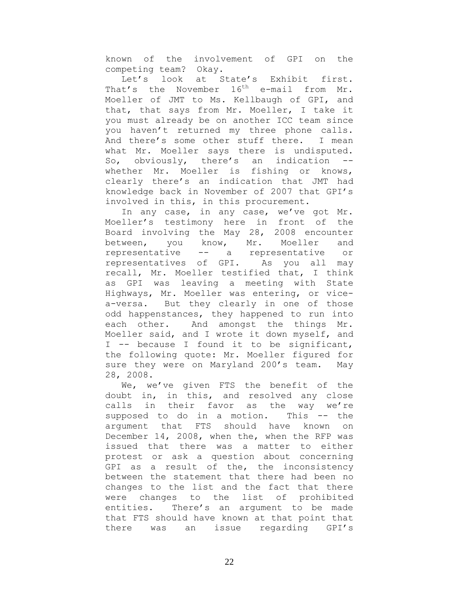known of the involvement of GPI on the competing team? Okay.

Let's look at State's Exhibit first. That's the November  $16^{th}$  e-mail from Mr. Moeller of JMT to Ms. Kellbaugh of GPI, and that, that says from Mr. Moeller, I take it you must already be on another ICC team since you haven't returned my three phone calls. And there's some other stuff there. I mean what Mr. Moeller says there is undisputed. So, obviously, there's an indication - whether Mr. Moeller is fishing or knows, clearly there's an indication that JMT had knowledge back in November of 2007 that GPI's involved in this, in this procurement.

In any case, in any case, we've got Mr. Moeller's testimony here in front of the Board involving the May 28, 2008 encounter between, you know, Mr. Moeller and representative -- a representative or representatives of GPI. As you all may recall, Mr. Moeller testified that, I think as GPI was leaving a meeting with State Highways, Mr. Moeller was entering, or vicea-versa. But they clearly in one of those odd happenstances, they happened to run into each other. And amongst the things Mr. Moeller said, and I wrote it down myself, and I -- because I found it to be significant, the following quote: Mr. Moeller figured for sure they were on Maryland 200's team. May 28, 2008.

We, we've given FTS the benefit of the doubt in, in this, and resolved any close calls in their favor as the way we're supposed to do in a motion. This -- the argument that FTS should have known on December 14, 2008, when the, when the RFP was issued that there was a matter to either protest or ask a question about concerning GPI as a result of the, the inconsistency between the statement that there had been no changes to the list and the fact that there were changes to the list of prohibited entities. There's an argument to be made that FTS should have known at that point that there was an issue regarding GPI's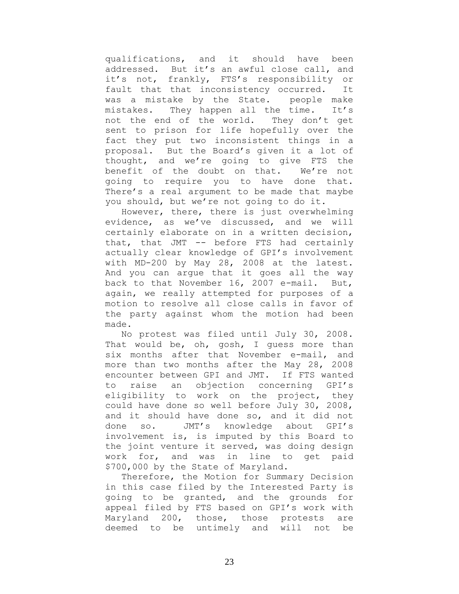qualifications, and it should have been addressed. But it's an awful close call, and it's not, frankly, FTS's responsibility or fault that that inconsistency occurred. It was a mistake by the State. people make mistakes. They happen all the time. It's not the end of the world. They don't get sent to prison for life hopefully over the fact they put two inconsistent things in a proposal. But the Board's given it a lot of thought, and we're going to give FTS the benefit of the doubt on that. We're not going to require you to have done that. There's a real argument to be made that maybe you should, but we're not going to do it.

However, there, there is just overwhelming evidence, as we've discussed, and we will certainly elaborate on in a written decision, that, that JMT -- before FTS had certainly actually clear knowledge of GPI's involvement with MD-200 by May 28, 2008 at the latest. And you can argue that it goes all the way back to that November 16, 2007 e-mail. But, again, we really attempted for purposes of a motion to resolve all close calls in favor of the party against whom the motion had been made.

No protest was filed until July 30, 2008. That would be, oh, gosh, I guess more than six months after that November e-mail, and more than two months after the May 28, 2008 encounter between GPI and JMT. If FTS wanted to raise an objection concerning GPI's eligibility to work on the project, they could have done so well before July 30, 2008, and it should have done so, and it did not done so. JMT's knowledge about GPI's involvement is, is imputed by this Board to the joint venture it served, was doing design work for, and was in line to get paid \$700,000 by the State of Maryland.

Therefore, the Motion for Summary Decision in this case filed by the Interested Party is going to be granted, and the grounds for appeal filed by FTS based on GPI's work with Maryland 200, those, those protests are deemed to be untimely and will not be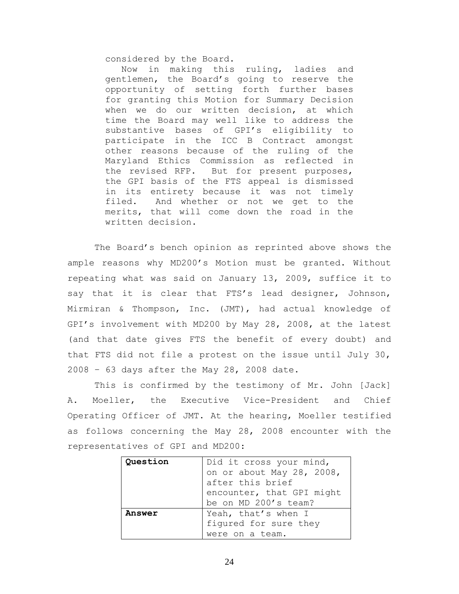considered by the Board.

Now in making this ruling, ladies and gentlemen, the Board's going to reserve the opportunity of setting forth further bases for granting this Motion for Summary Decision when we do our written decision, at which time the Board may well like to address the substantive bases of GPI's eligibility to participate in the ICC B Contract amongst other reasons because of the ruling of the Maryland Ethics Commission as reflected in the revised RFP. But for present purposes, the GPI basis of the FTS appeal is dismissed in its entirety because it was not timely filed. And whether or not we get to the merits, that will come down the road in the written decision.

The Board's bench opinion as reprinted above shows the ample reasons why MD200's Motion must be granted. Without repeating what was said on January 13, 2009, suffice it to say that it is clear that FTS's lead designer, Johnson, Mirmiran & Thompson, Inc. (JMT), had actual knowledge of GPI's involvement with MD200 by May 28, 2008, at the latest (and that date gives FTS the benefit of every doubt) and that FTS did not file a protest on the issue until July 30, 2008 – 63 days after the May 28, 2008 date.

This is confirmed by the testimony of Mr. John [Jack] A. Moeller, the Executive Vice-President and Chief Operating Officer of JMT. At the hearing, Moeller testified as follows concerning the May 28, 2008 encounter with the representatives of GPI and MD200:

| Question | Did it cross your mind,   |  |
|----------|---------------------------|--|
|          | on or about May 28, 2008, |  |
|          | after this brief          |  |
|          | encounter, that GPI might |  |
|          | be on MD 200's team?      |  |
| Answer   | Yeah, that's when I       |  |
|          | fiqured for sure they     |  |
|          | were on a team.           |  |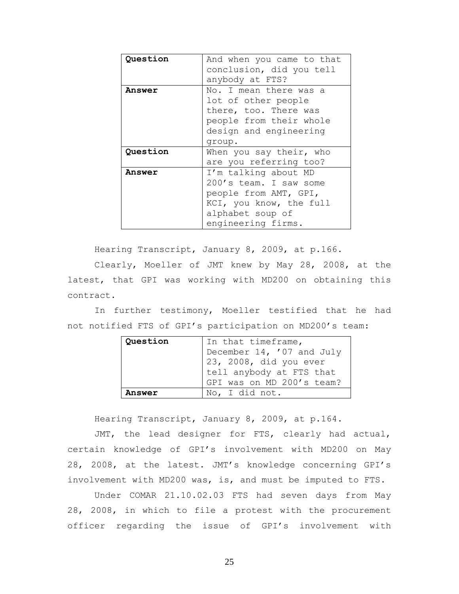| Question | And when you came to that |  |  |
|----------|---------------------------|--|--|
|          | conclusion, did you tell  |  |  |
|          | anybody at FTS?           |  |  |
| Answer   | No. I mean there was a    |  |  |
|          | lot of other people       |  |  |
|          | there, too. There was     |  |  |
|          | people from their whole   |  |  |
|          | design and engineering    |  |  |
|          | group.                    |  |  |
| Question | When you say their, who   |  |  |
|          | are you referring too?    |  |  |
| Answer   | I'm talking about MD      |  |  |
|          | 200's team. I saw some    |  |  |
|          | people from AMT, GPI,     |  |  |
|          | KCI, you know, the full   |  |  |
|          | alphabet soup of          |  |  |
|          | engineering firms.        |  |  |

Hearing Transcript, January 8, 2009, at p.166.

Clearly, Moeller of JMT knew by May 28, 2008, at the latest, that GPI was working with MD200 on obtaining this contract.

In further testimony, Moeller testified that he had not notified FTS of GPI's participation on MD200's team:

| Question | In that timeframe,        |  |
|----------|---------------------------|--|
|          | December 14, '07 and July |  |
|          | $23, 2008,$ did you ever  |  |
|          | tell anybody at FTS that  |  |
|          | GPI was on MD 200's team? |  |
| Answer   | No, I did not.            |  |

Hearing Transcript, January 8, 2009, at p.164.

JMT, the lead designer for FTS, clearly had actual, certain knowledge of GPI's involvement with MD200 on May 28, 2008, at the latest. JMT's knowledge concerning GPI's involvement with MD200 was, is, and must be imputed to FTS.

Under COMAR 21.10.02.03 FTS had seven days from May 28, 2008, in which to file a protest with the procurement officer regarding the issue of GPI's involvement with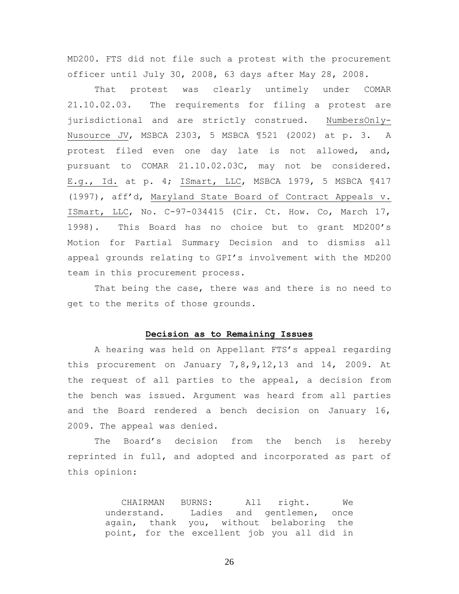MD200. FTS did not file such a protest with the procurement officer until July 30, 2008, 63 days after May 28, 2008.

That protest was clearly untimely under COMAR 21.10.02.03. The requirements for filing a protest are jurisdictional and are strictly construed. NumbersOnly-Nusource JV, MSBCA 2303, 5 MSBCA ¶521 (2002) at p. 3. A protest filed even one day late is not allowed, and, pursuant to COMAR 21.10.02.03C, may not be considered. E.g., Id. at p. 4; ISmart, LLC, MSBCA 1979, 5 MSBCA ¶417 (1997), aff'd, Maryland State Board of Contract Appeals v. ISmart, LLC, No. C-97-034415 (Cir. Ct. How. Co, March 17, 1998). This Board has no choice but to grant MD200's Motion for Partial Summary Decision and to dismiss all appeal grounds relating to GPI's involvement with the MD200 team in this procurement process.

That being the case, there was and there is no need to get to the merits of those grounds.

### **Decision as to Remaining Issues**

A hearing was held on Appellant FTS's appeal regarding this procurement on January 7,8,9,12,13 and 14, 2009. At the request of all parties to the appeal, a decision from the bench was issued. Argument was heard from all parties and the Board rendered a bench decision on January 16, 2009. The appeal was denied.

The Board's decision from the bench is hereby reprinted in full, and adopted and incorporated as part of this opinion:

> CHAIRMAN BURNS: All right. We understand. Ladies and gentlemen, once again, thank you, without belaboring the point, for the excellent job you all did in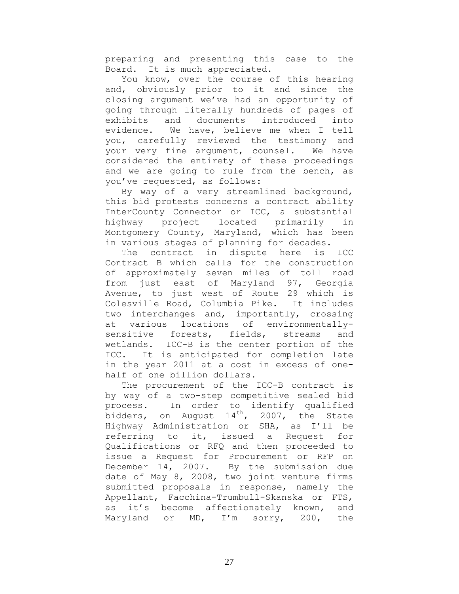preparing and presenting this case to the Board. It is much appreciated.

You know, over the course of this hearing and, obviously prior to it and since the closing argument we've had an opportunity of going through literally hundreds of pages of exhibits and documents introduced into evidence. We have, believe me when I tell you, carefully reviewed the testimony and your very fine argument, counsel. We have considered the entirety of these proceedings and we are going to rule from the bench, as you've requested, as follows:

By way of a very streamlined background, this bid protests concerns a contract ability InterCounty Connector or ICC, a substantial highway project located primarily in Montgomery County, Maryland, which has been in various stages of planning for decades.

The contract in dispute here is ICC Contract B which calls for the construction of approximately seven miles of toll road from just east of Maryland 97, Georgia Avenue, to just west of Route 29 which is Colesville Road, Columbia Pike. It includes two interchanges and, importantly, crossing at various locations of environmentallysensitive forests, fields, streams and wetlands. ICC-B is the center portion of the ICC. It is anticipated for completion late in the year 2011 at a cost in excess of onehalf of one billion dollars.

The procurement of the ICC-B contract is by way of a two-step competitive sealed bid process. In order to identify qualified bidders, on August  $14<sup>th</sup>$ , 2007, the State Highway Administration or SHA, as I'll be referring to it, issued a Request for Qualifications or RFQ and then proceeded to issue a Request for Procurement or RFP on December 14, 2007. By the submission due date of May 8, 2008, two joint venture firms submitted proposals in response, namely the Appellant, Facchina-Trumbull-Skanska or FTS, as it's become affectionately known, and Maryland or MD, I'm sorry, 200, the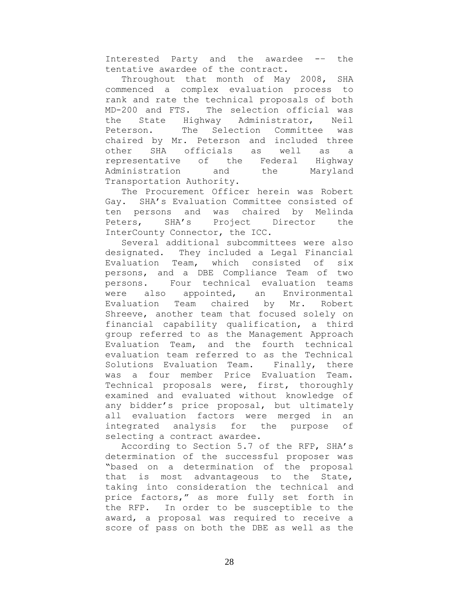Interested Party and the awardee -– the tentative awardee of the contract.

Throughout that month of May 2008, SHA commenced a complex evaluation process to rank and rate the technical proposals of both MD-200 and FTS. The selection official was the State Highway Administrator, Neil Peterson. The Selection Committee was chaired by Mr. Peterson and included three other SHA officials as well as a representative of the Federal Highway Administration and the Maryland Transportation Authority.

The Procurement Officer herein was Robert Gay. SHA's Evaluation Committee consisted of ten persons and was chaired by Melinda Peters, SHA's Project Director the InterCounty Connector, the ICC.

Several additional subcommittees were also designated. They included a Legal Financial Evaluation Team, which consisted of six persons, and a DBE Compliance Team of two persons. Four technical evaluation teams were also appointed, an Environmental Evaluation Team chaired by Mr. Robert Shreeve, another team that focused solely on financial capability qualification, a third group referred to as the Management Approach Evaluation Team, and the fourth technical evaluation team referred to as the Technical Solutions Evaluation Team. Finally, there was a four member Price Evaluation Team. Technical proposals were, first, thoroughly examined and evaluated without knowledge of any bidder's price proposal, but ultimately all evaluation factors were merged in an integrated analysis for the purpose of selecting a contract awardee.

According to Section 5.7 of the RFP, SHA's determination of the successful proposer was "based on a determination of the proposal that is most advantageous to the State, taking into consideration the technical and price factors," as more fully set forth in the RFP. In order to be susceptible to the award, a proposal was required to receive a score of pass on both the DBE as well as the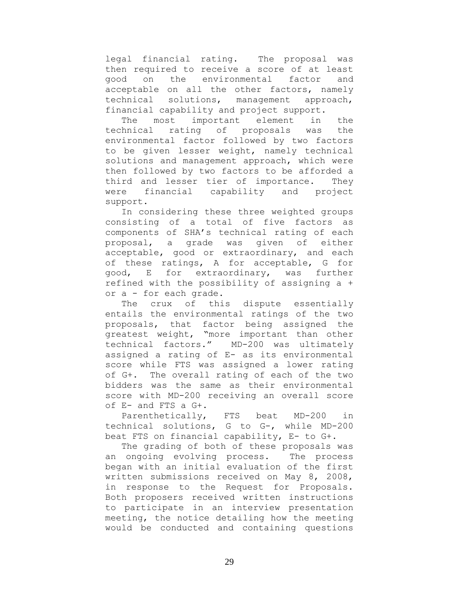legal financial rating. The proposal was then required to receive a score of at least good on the environmental factor and acceptable on all the other factors, namely technical solutions, management approach, financial capability and project support.

The most important element in the technical rating of proposals was the environmental factor followed by two factors to be given lesser weight, namely technical solutions and management approach, which were then followed by two factors to be afforded a third and lesser tier of importance. They were financial capability and project support.

In considering these three weighted groups consisting of a total of five factors as components of SHA's technical rating of each proposal, a grade was given of either acceptable, good or extraordinary, and each of these ratings, A for acceptable, G for good, E for extraordinary, was further refined with the possibility of assigning a + or a - for each grade.

The crux of this dispute essentially entails the environmental ratings of the two proposals, that factor being assigned the greatest weight, "more important than other technical factors." MD-200 was ultimately assigned a rating of E- as its environmental score while FTS was assigned a lower rating of G+. The overall rating of each of the two bidders was the same as their environmental score with MD-200 receiving an overall score of E- and FTS a G+.

Parenthetically, FTS beat MD-200 in technical solutions, G to G-, while MD-200 beat FTS on financial capability, E- to G+.

The grading of both of these proposals was an ongoing evolving process. The process began with an initial evaluation of the first written submissions received on May 8, 2008, in response to the Request for Proposals. Both proposers received written instructions to participate in an interview presentation meeting, the notice detailing how the meeting would be conducted and containing questions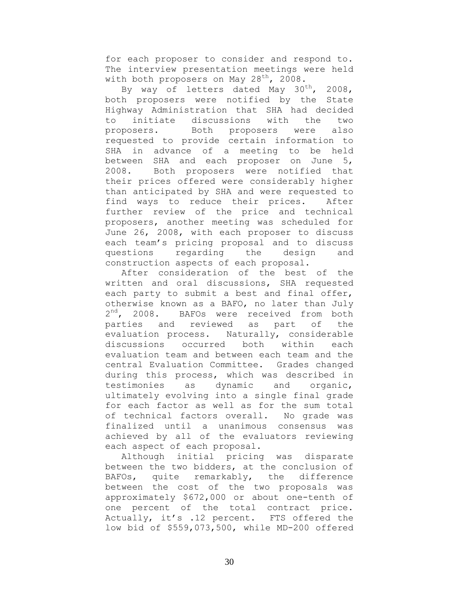for each proposer to consider and respond to. The interview presentation meetings were held with both proposers on May  $28^{th}$ , 2008.

By way of letters dated May  $30^{th}$ , 2008, both proposers were notified by the State Highway Administration that SHA had decided to initiate discussions with the two proposers. Both proposers were also requested to provide certain information to SHA in advance of a meeting to be held between SHA and each proposer on June 5, 2008. Both proposers were notified that their prices offered were considerably higher than anticipated by SHA and were requested to find ways to reduce their prices. After further review of the price and technical proposers, another meeting was scheduled for June 26, 2008, with each proposer to discuss each team's pricing proposal and to discuss questions regarding the design and construction aspects of each proposal.

After consideration of the best of the written and oral discussions, SHA requested each party to submit a best and final offer, otherwise known as a BAFO, no later than July  $2^{nd}$ , 2008. BAFOs were received from both parties and reviewed as part of the evaluation process. Naturally, considerable discussions occurred both within each evaluation team and between each team and the central Evaluation Committee. Grades changed during this process, which was described in testimonies as dynamic and organic, ultimately evolving into a single final grade for each factor as well as for the sum total of technical factors overall. No grade was finalized until a unanimous consensus was achieved by all of the evaluators reviewing each aspect of each proposal.

Although initial pricing was disparate between the two bidders, at the conclusion of BAFOs, quite remarkably, the difference between the cost of the two proposals was approximately \$672,000 or about one-tenth of one percent of the total contract price. Actually, it's .12 percent. FTS offered the low bid of \$559,073,500, while MD-200 offered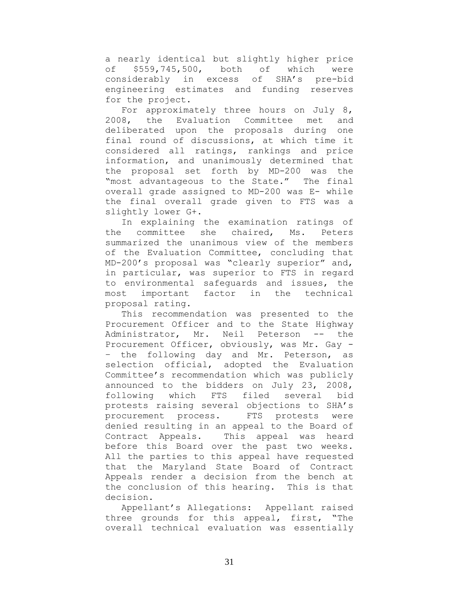a nearly identical but slightly higher price of \$559,745,500, both of which were considerably in excess of SHA's pre-bid engineering estimates and funding reserves for the project.

For approximately three hours on July 8, 2008, the Evaluation Committee met and deliberated upon the proposals during one final round of discussions, at which time it considered all ratings, rankings and price information, and unanimously determined that the proposal set forth by MD-200 was the "most advantageous to the State." The final overall grade assigned to MD-200 was E- while the final overall grade given to FTS was a slightly lower G+.

In explaining the examination ratings of the committee she chaired, Ms. Peters summarized the unanimous view of the members of the Evaluation Committee, concluding that MD-200's proposal was "clearly superior" and, in particular, was superior to FTS in regard to environmental safeguards and issues, the most important factor in the technical proposal rating.

This recommendation was presented to the Procurement Officer and to the State Highway Administrator, Mr. Neil Peterson -- the Procurement Officer, obviously, was Mr. Gay - – the following day and Mr. Peterson, as selection official, adopted the Evaluation Committee's recommendation which was publicly announced to the bidders on July 23, 2008, following which FTS filed several bid protests raising several objections to SHA's procurement process. FTS protests were denied resulting in an appeal to the Board of Contract Appeals. This appeal was heard before this Board over the past two weeks. All the parties to this appeal have requested that the Maryland State Board of Contract Appeals render a decision from the bench at the conclusion of this hearing. This is that decision.

Appellant's Allegations: Appellant raised three grounds for this appeal, first, "The overall technical evaluation was essentially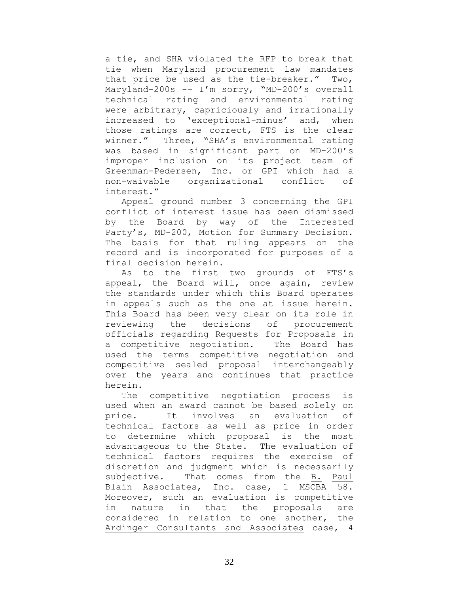a tie, and SHA violated the RFP to break that tie when Maryland procurement law mandates that price be used as the tie-breaker." Two, Maryland-200s -– I'm sorry, "MD-200's overall technical rating and environmental rating were arbitrary, capriciously and irrationally increased to 'exceptional-minus' and, when those ratings are correct, FTS is the clear winner." Three, "SHA's environmental rating was based in significant part on MD-200's improper inclusion on its project team of Greenman-Pedersen, Inc. or GPI which had a non-waivable organizational conflict of interest."

Appeal ground number 3 concerning the GPI conflict of interest issue has been dismissed by the Board by way of the Interested Party's, MD-200, Motion for Summary Decision. The basis for that ruling appears on the record and is incorporated for purposes of a final decision herein.

As to the first two grounds of FTS's appeal, the Board will, once again, review the standards under which this Board operates in appeals such as the one at issue herein. This Board has been very clear on its role in reviewing the decisions of procurement officials regarding Requests for Proposals in a competitive negotiation. The Board has used the terms competitive negotiation and competitive sealed proposal interchangeably over the years and continues that practice herein.

The competitive negotiation process is used when an award cannot be based solely on price. It involves an evaluation of technical factors as well as price in order to determine which proposal is the most advantageous to the State. The evaluation of technical factors requires the exercise of discretion and judgment which is necessarily subjective. That comes from the B. Paul Blain Associates, Inc. case, 1 MSCBA 58. Moreover, such an evaluation is competitive in nature in that the proposals are considered in relation to one another, the Ardinger Consultants and Associates case, 4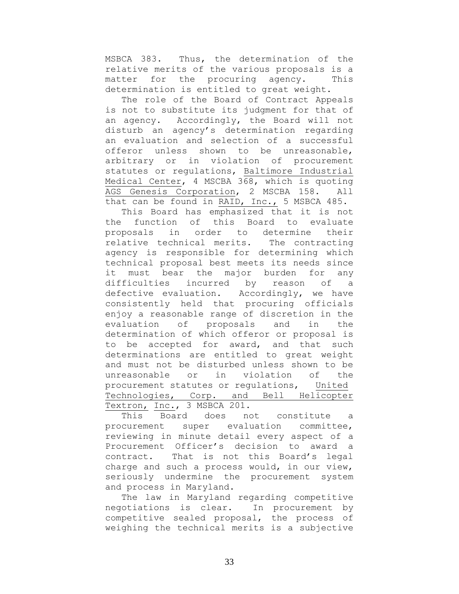MSBCA 383. Thus, the determination of the relative merits of the various proposals is a matter for the procuring agency. This determination is entitled to great weight.

The role of the Board of Contract Appeals is not to substitute its judgment for that of an agency. Accordingly, the Board will not disturb an agency's determination regarding an evaluation and selection of a successful offeror unless shown to be unreasonable, arbitrary or in violation of procurement statutes or regulations, Baltimore Industrial Medical Center, 4 MSCBA 368, which is quoting AGS Genesis Corporation, 2 MSCBA 158. All that can be found in RAID, Inc., 5 MSBCA 485.

This Board has emphasized that it is not the function of this Board to evaluate proposals in order to determine their relative technical merits. The contracting agency is responsible for determining which technical proposal best meets its needs since it must bear the major burden for any difficulties incurred by reason of a defective evaluation. Accordingly, we have consistently held that procuring officials enjoy a reasonable range of discretion in the evaluation of proposals and in the determination of which offeror or proposal is to be accepted for award, and that such determinations are entitled to great weight and must not be disturbed unless shown to be unreasonable or in violation of the procurement statutes or regulations, United Technologies, Corp. and Bell Helicopter Textron, Inc., 3 MSBCA 201.

This Board does not constitute a procurement super evaluation committee, reviewing in minute detail every aspect of a Procurement Officer's decision to award a contract. That is not this Board's legal charge and such a process would, in our view, seriously undermine the procurement system and process in Maryland.

The law in Maryland regarding competitive negotiations is clear. In procurement by competitive sealed proposal, the process of weighing the technical merits is a subjective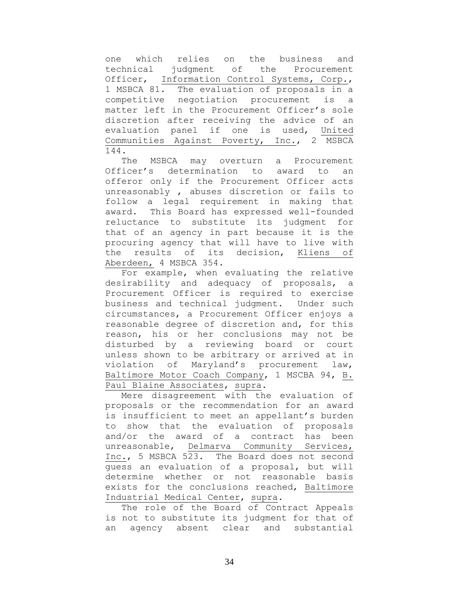one which relies on the business and technical judgment of the Procurement Officer, Information Control Systems, Corp., 1 MSBCA 81. The evaluation of proposals in a competitive negotiation procurement is a matter left in the Procurement Officer's sole discretion after receiving the advice of an evaluation panel if one is used, United Communities Against Poverty, Inc., 2 MSBCA 144.

The MSBCA may overturn a Procurement Officer's determination to award to an offeror only if the Procurement Officer acts unreasonably , abuses discretion or fails to follow a legal requirement in making that award. This Board has expressed well-founded reluctance to substitute its judgment for that of an agency in part because it is the procuring agency that will have to live with the results of its decision, Kliens of Aberdeen, 4 MSBCA 354.

For example, when evaluating the relative desirability and adequacy of proposals, a Procurement Officer is required to exercise business and technical judgment. Under such circumstances, a Procurement Officer enjoys a reasonable degree of discretion and, for this reason, his or her conclusions may not be disturbed by a reviewing board or court unless shown to be arbitrary or arrived at in violation of Maryland's procurement law, Baltimore Motor Coach Company, 1 MSCBA 94, B. Paul Blaine Associates, supra.

Mere disagreement with the evaluation of proposals or the recommendation for an award is insufficient to meet an appellant's burden to show that the evaluation of proposals and/or the award of a contract has been unreasonable, Delmarva Community Services, Inc., 5 MSBCA 523. The Board does not second guess an evaluation of a proposal, but will determine whether or not reasonable basis exists for the conclusions reached, Baltimore Industrial Medical Center, supra.

The role of the Board of Contract Appeals is not to substitute its judgment for that of an agency absent clear and substantial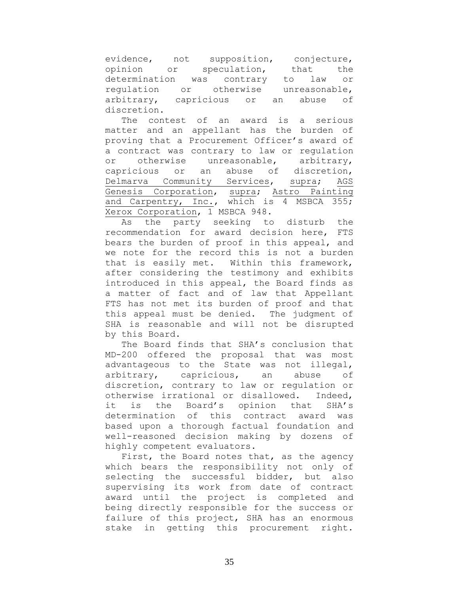evidence, not supposition, conjecture, opinion or speculation, that the determination was contrary to law or regulation or otherwise unreasonable, arbitrary, capricious or an abuse of discretion.

The contest of an award is a serious matter and an appellant has the burden of proving that a Procurement Officer's award of a contract was contrary to law or regulation or otherwise unreasonable, arbitrary, capricious or an abuse of discretion, Delmarva Community Services, supra; AGS Genesis Corporation, supra; Astro Painting and Carpentry, Inc., which is 4 MSBCA 355; Xerox Corporation, 1 MSBCA 948.

As the party seeking to disturb the recommendation for award decision here, FTS bears the burden of proof in this appeal, and we note for the record this is not a burden that is easily met. Within this framework, after considering the testimony and exhibits introduced in this appeal, the Board finds as a matter of fact and of law that Appellant FTS has not met its burden of proof and that this appeal must be denied. The judgment of SHA is reasonable and will not be disrupted by this Board.

The Board finds that SHA's conclusion that MD-200 offered the proposal that was most advantageous to the State was not illegal, arbitrary, capricious, an abuse of discretion, contrary to law or regulation or otherwise irrational or disallowed. Indeed, it is the Board's opinion that SHA's determination of this contract award was based upon a thorough factual foundation and well-reasoned decision making by dozens of highly competent evaluators.

First, the Board notes that, as the agency which bears the responsibility not only of selecting the successful bidder, but also supervising its work from date of contract award until the project is completed and being directly responsible for the success or failure of this project, SHA has an enormous stake in getting this procurement right.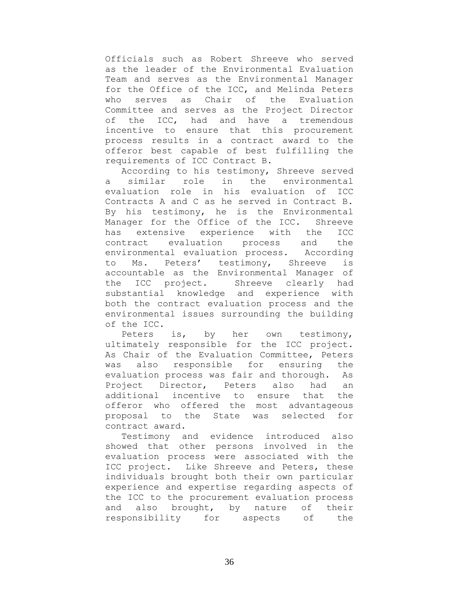Officials such as Robert Shreeve who served as the leader of the Environmental Evaluation Team and serves as the Environmental Manager for the Office of the ICC, and Melinda Peters who serves as Chair of the Evaluation Committee and serves as the Project Director of the ICC, had and have a tremendous incentive to ensure that this procurement process results in a contract award to the offeror best capable of best fulfilling the requirements of ICC Contract B.

According to his testimony, Shreeve served a similar role in the environmental evaluation role in his evaluation of ICC Contracts A and C as he served in Contract B. By his testimony, he is the Environmental Manager for the Office of the ICC. Shreeve has extensive experience with the ICC contract evaluation process and the environmental evaluation process. According to Ms. Peters' testimony, Shreeve is accountable as the Environmental Manager of the ICC project. Shreeve clearly had substantial knowledge and experience with both the contract evaluation process and the environmental issues surrounding the building of the ICC.

Peters is, by her own testimony, ultimately responsible for the ICC project. As Chair of the Evaluation Committee, Peters was also responsible for ensuring the evaluation process was fair and thorough. As Project Director, Peters also had an additional incentive to ensure that the offeror who offered the most advantageous proposal to the State was selected for contract award.

Testimony and evidence introduced also showed that other persons involved in the evaluation process were associated with the ICC project. Like Shreeve and Peters, these individuals brought both their own particular experience and expertise regarding aspects of the ICC to the procurement evaluation process and also brought, by nature of their responsibility for aspects of the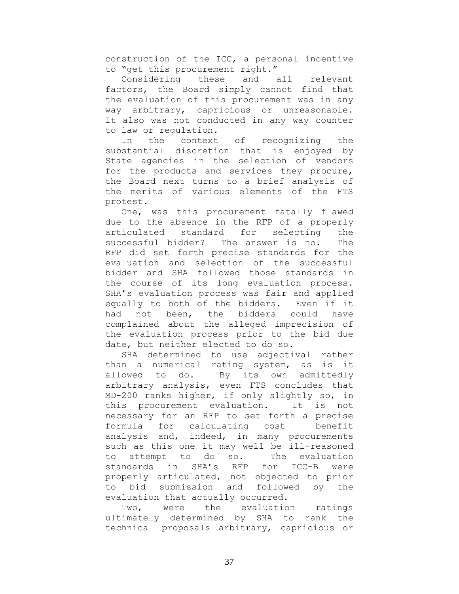construction of the ICC, a personal incentive to "get this procurement right."

Considering these and all relevant factors, the Board simply cannot find that the evaluation of this procurement was in any way arbitrary, capricious or unreasonable. It also was not conducted in any way counter to law or regulation.

In the context of recognizing the substantial discretion that is enjoyed by State agencies in the selection of vendors for the products and services they procure, the Board next turns to a brief analysis of the merits of various elements of the FTS protest.

One, was this procurement fatally flawed due to the absence in the RFP of a properly articulated standard for selecting the successful bidder? The answer is no. The RFP did set forth precise standards for the evaluation and selection of the successful bidder and SHA followed those standards in the course of its long evaluation process. SHA's evaluation process was fair and applied equally to both of the bidders. Even if it had not been, the bidders could have complained about the alleged imprecision of the evaluation process prior to the bid due date, but neither elected to do so.

SHA determined to use adjectival rather than a numerical rating system, as is it allowed to do. By its own admittedly arbitrary analysis, even FTS concludes that MD-200 ranks higher, if only slightly so, in this procurement evaluation. It is not necessary for an RFP to set forth a precise formula for calculating cost benefit analysis and, indeed, in many procurements such as this one it may well be ill-reasoned to attempt to do so. The evaluation standards in SHA's RFP for ICC-B were properly articulated, not objected to prior to bid submission and followed by the evaluation that actually occurred.

Two, were the evaluation ratings ultimately determined by SHA to rank the technical proposals arbitrary, capricious or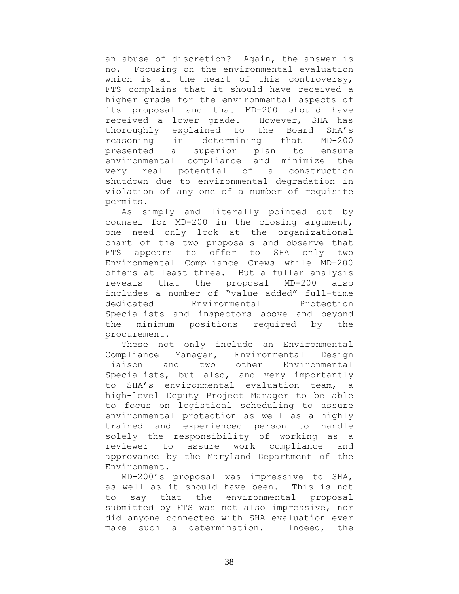an abuse of discretion? Again, the answer is no. Focusing on the environmental evaluation which is at the heart of this controversy, FTS complains that it should have received a higher grade for the environmental aspects of its proposal and that MD-200 should have received a lower grade. However, SHA has thoroughly explained to the Board SHA's reasoning in determining that MD-200 presented a superior plan to ensure environmental compliance and minimize the very real potential of a construction shutdown due to environmental degradation in violation of any one of a number of requisite permits.

As simply and literally pointed out by counsel for MD-200 in the closing argument, one need only look at the organizational chart of the two proposals and observe that FTS appears to offer to SHA only two Environmental Compliance Crews while MD-200 offers at least three. But a fuller analysis reveals that the proposal MD-200 also includes a number of "value added" full-time dedicated Environmental Protection Specialists and inspectors above and beyond the minimum positions required by the procurement.

These not only include an Environmental Compliance Manager, Environmental Design Liaison and two other Environmental Specialists, but also, and very importantly to SHA's environmental evaluation team, a high-level Deputy Project Manager to be able to focus on logistical scheduling to assure environmental protection as well as a highly trained and experienced person to handle solely the responsibility of working as a reviewer to assure work compliance and approvance by the Maryland Department of the Environment.

MD-200's proposal was impressive to SHA, as well as it should have been. This is not to say that the environmental proposal submitted by FTS was not also impressive, nor did anyone connected with SHA evaluation ever make such a determination. Indeed, the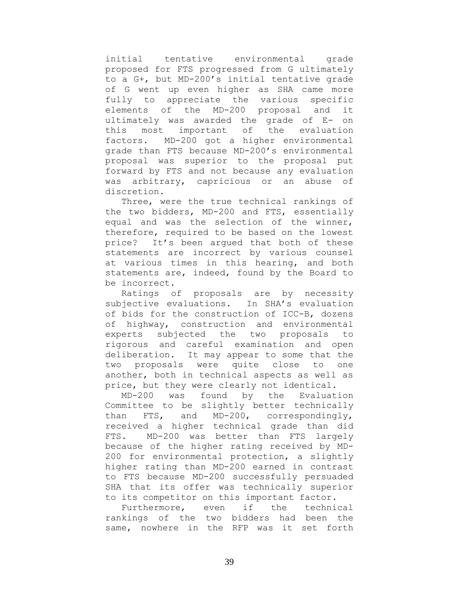initial tentative environmental grade proposed for FTS progressed from G ultimately to a G+, but MD-200's initial tentative grade of G went up even higher as SHA came more fully to appreciate the various specific elements of the MD-200 proposal and it ultimately was awarded the grade of E- on this most important of the evaluation factors. MD-200 got a higher environmental grade than FTS because MD-200's environmental proposal was superior to the proposal put forward by FTS and not because any evaluation was arbitrary, capricious or an abuse of discretion.

Three, were the true technical rankings of the two bidders, MD-200 and FTS, essentially equal and was the selection of the winner, therefore, required to be based on the lowest price? It's been argued that both of these statements are incorrect by various counsel at various times in this hearing, and both statements are, indeed, found by the Board to be incorrect.

Ratings of proposals are by necessity subjective evaluations. In SHA's evaluation of bids for the construction of ICC-B, dozens of highway, construction and environmental experts subjected the two proposals to rigorous and careful examination and open deliberation. It may appear to some that the two proposals were quite close to one another, both in technical aspects as well as price, but they were clearly not identical.

MD-200 was found by the Evaluation Committee to be slightly better technically than FTS, and MD-200, correspondingly, received a higher technical grade than did FTS. MD-200 was better than FTS largely because of the higher rating received by MD-200 for environmental protection, a slightly higher rating than MD-200 earned in contrast to FTS because MD-200 successfully persuaded SHA that its offer was technically superior to its competitor on this important factor.

Furthermore, even if the technical rankings of the two bidders had been the same, nowhere in the RFP was it set forth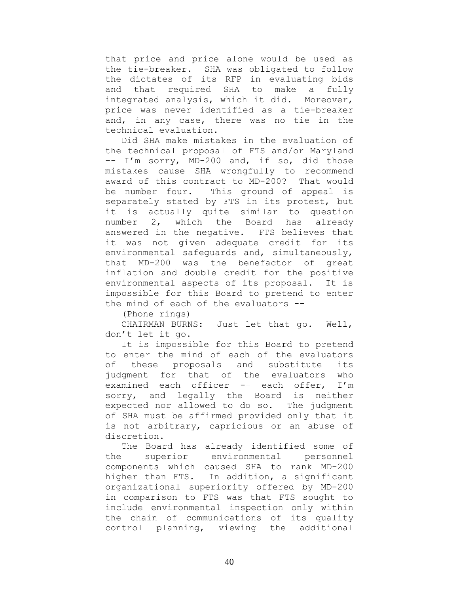that price and price alone would be used as the tie-breaker. SHA was obligated to follow the dictates of its RFP in evaluating bids and that required SHA to make a fully integrated analysis, which it did. Moreover, price was never identified as a tie-breaker and, in any case, there was no tie in the technical evaluation.

Did SHA make mistakes in the evaluation of the technical proposal of FTS and/or Maryland –- I'm sorry, MD-200 and, if so, did those mistakes cause SHA wrongfully to recommend award of this contract to MD-200? That would be number four. This ground of appeal is separately stated by FTS in its protest, but it is actually quite similar to question number 2, which the Board has already answered in the negative. FTS believes that it was not given adequate credit for its environmental safeguards and, simultaneously, that MD-200 was the benefactor of great inflation and double credit for the positive environmental aspects of its proposal. It is impossible for this Board to pretend to enter the mind of each of the evaluators --

(Phone rings)

CHAIRMAN BURNS: Just let that go. Well, don't let it go.

It is impossible for this Board to pretend to enter the mind of each of the evaluators of these proposals and substitute its judgment for that of the evaluators who examined each officer -– each offer, I'm sorry, and legally the Board is neither expected nor allowed to do so. The judgment of SHA must be affirmed provided only that it is not arbitrary, capricious or an abuse of discretion.

The Board has already identified some of the superior environmental personnel components which caused SHA to rank MD-200 higher than FTS. In addition, a significant organizational superiority offered by MD-200 in comparison to FTS was that FTS sought to include environmental inspection only within the chain of communications of its quality control planning, viewing the additional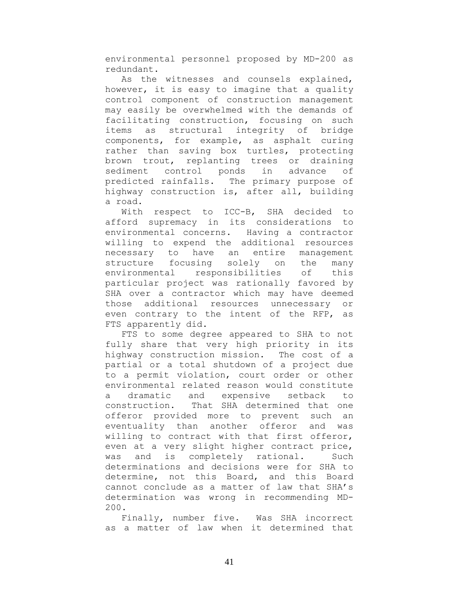environmental personnel proposed by MD-200 as redundant.

As the witnesses and counsels explained, however, it is easy to imagine that a quality control component of construction management may easily be overwhelmed with the demands of facilitating construction, focusing on such items as structural integrity of bridge components, for example, as asphalt curing rather than saving box turtles, protecting brown trout, replanting trees or draining sediment control ponds in advance of predicted rainfalls. The primary purpose of highway construction is, after all, building a road.

With respect to ICC-B, SHA decided to afford supremacy in its considerations to environmental concerns. Having a contractor willing to expend the additional resources necessary to have an entire management structure focusing solely on the many environmental responsibilities of this particular project was rationally favored by SHA over a contractor which may have deemed those additional resources unnecessary or even contrary to the intent of the RFP, as FTS apparently did.

FTS to some degree appeared to SHA to not fully share that very high priority in its highway construction mission. The cost of a partial or a total shutdown of a project due to a permit violation, court order or other environmental related reason would constitute a dramatic and expensive setback to construction. That SHA determined that one offeror provided more to prevent such an eventuality than another offeror and was willing to contract with that first offeror, even at a very slight higher contract price, was and is completely rational. Such determinations and decisions were for SHA to determine, not this Board, and this Board cannot conclude as a matter of law that SHA's determination was wrong in recommending MD-200.

Finally, number five. Was SHA incorrect as a matter of law when it determined that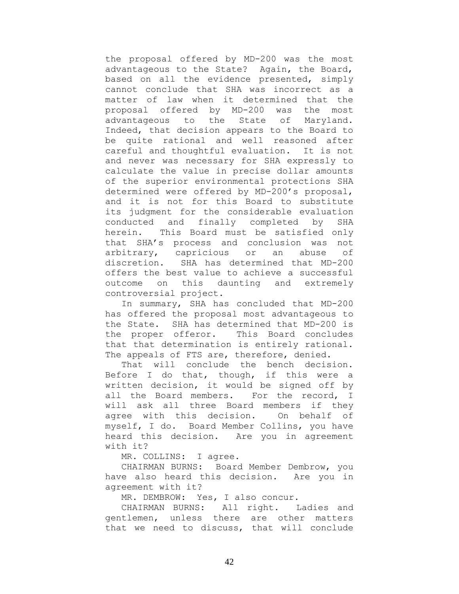the proposal offered by MD-200 was the most advantageous to the State? Again, the Board, based on all the evidence presented, simply cannot conclude that SHA was incorrect as a matter of law when it determined that the proposal offered by MD-200 was the most advantageous to the State of Maryland. Indeed, that decision appears to the Board to be quite rational and well reasoned after careful and thoughtful evaluation. It is not and never was necessary for SHA expressly to calculate the value in precise dollar amounts of the superior environmental protections SHA determined were offered by MD-200's proposal, and it is not for this Board to substitute its judgment for the considerable evaluation conducted and finally completed by SHA herein. This Board must be satisfied only that SHA's process and conclusion was not arbitrary, capricious or an abuse of discretion. SHA has determined that MD-200 offers the best value to achieve a successful outcome on this daunting and extremely controversial project.

In summary, SHA has concluded that MD-200 has offered the proposal most advantageous to the State. SHA has determined that MD-200 is the proper offeror. This Board concludes that that determination is entirely rational. The appeals of FTS are, therefore, denied.

That will conclude the bench decision. Before I do that, though, if this were a written decision, it would be signed off by all the Board members. For the record, I will ask all three Board members if they agree with this decision. On behalf of myself, I do. Board Member Collins, you have heard this decision. Are you in agreement with it?

MR. COLLINS: I agree.

CHAIRMAN BURNS: Board Member Dembrow, you have also heard this decision. Are you in agreement with it?

MR. DEMBROW: Yes, I also concur.

CHAIRMAN BURNS: All right. Ladies and gentlemen, unless there are other matters that we need to discuss, that will conclude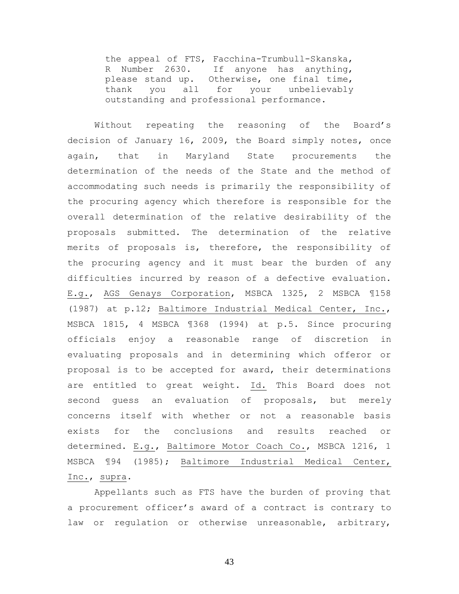the appeal of FTS, Facchina-Trumbull-Skanska, R Number 2630. If anyone has anything, please stand up. Otherwise, one final time, thank you all for your unbelievably outstanding and professional performance.

Without repeating the reasoning of the Board's decision of January 16, 2009, the Board simply notes, once again, that in Maryland State procurements the determination of the needs of the State and the method of accommodating such needs is primarily the responsibility of the procuring agency which therefore is responsible for the overall determination of the relative desirability of the proposals submitted. The determination of the relative merits of proposals is, therefore, the responsibility of the procuring agency and it must bear the burden of any difficulties incurred by reason of a defective evaluation. E.g., AGS Genays Corporation, MSBCA 1325, 2 MSBCA ¶158 (1987) at p.12; Baltimore Industrial Medical Center, Inc., MSBCA 1815, 4 MSBCA ¶368 (1994) at p.5. Since procuring officials enjoy a reasonable range of discretion in evaluating proposals and in determining which offeror or proposal is to be accepted for award, their determinations are entitled to great weight. Id. This Board does not second guess an evaluation of proposals, but merely concerns itself with whether or not a reasonable basis exists for the conclusions and results reached or determined. E.g., Baltimore Motor Coach Co., MSBCA 1216, 1 MSBCA ¶94 (1985); Baltimore Industrial Medical Center, Inc., supra.

Appellants such as FTS have the burden of proving that a procurement officer's award of a contract is contrary to law or regulation or otherwise unreasonable, arbitrary,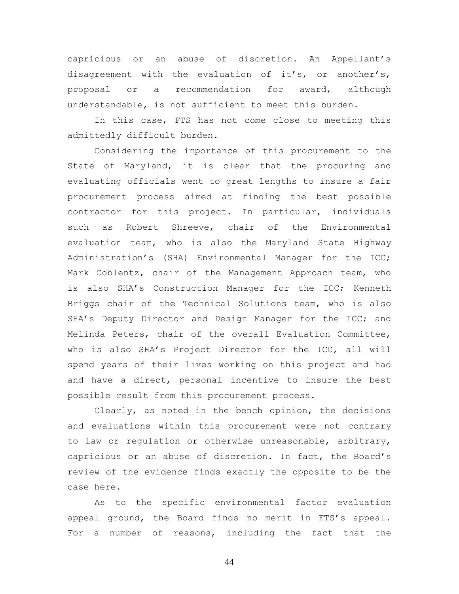capricious or an abuse of discretion. An Appellant's disagreement with the evaluation of it's, or another's, proposal or a recommendation for award, although understandable, is not sufficient to meet this burden.

In this case, FTS has not come close to meeting this admittedly difficult burden.

Considering the importance of this procurement to the State of Maryland, it is clear that the procuring and evaluating officials went to great lengths to insure a fair procurement process aimed at finding the best possible contractor for this project. In particular, individuals such as Robert Shreeve, chair of the Environmental evaluation team, who is also the Maryland State Highway Administration's (SHA) Environmental Manager for the ICC; Mark Coblentz, chair of the Management Approach team, who is also SHA's Construction Manager for the ICC; Kenneth Briggs chair of the Technical Solutions team, who is also SHA's Deputy Director and Design Manager for the ICC; and Melinda Peters, chair of the overall Evaluation Committee, who is also SHA's Project Director for the ICC, all will spend years of their lives working on this project and had and have a direct, personal incentive to insure the best possible result from this procurement process.

Clearly, as noted in the bench opinion, the decisions and evaluations within this procurement were not contrary to law or regulation or otherwise unreasonable, arbitrary, capricious or an abuse of discretion. In fact, the Board's review of the evidence finds exactly the opposite to be the case here.

As to the specific environmental factor evaluation appeal ground, the Board finds no merit in FTS's appeal. For a number of reasons, including the fact that the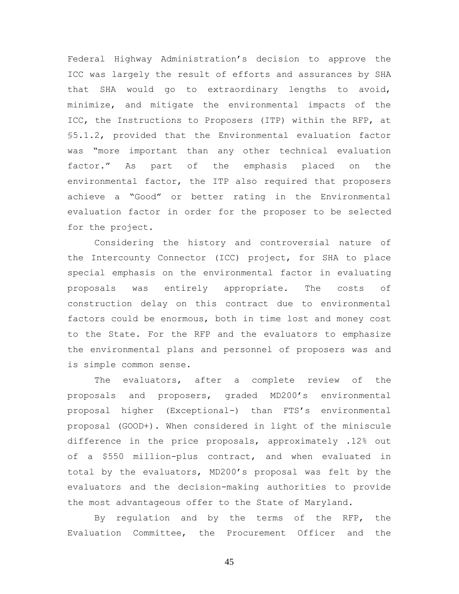Federal Highway Administration's decision to approve the ICC was largely the result of efforts and assurances by SHA that SHA would go to extraordinary lengths to avoid, minimize, and mitigate the environmental impacts of the ICC, the Instructions to Proposers (ITP) within the RFP, at §5.1.2, provided that the Environmental evaluation factor was "more important than any other technical evaluation factor." As part of the emphasis placed on the environmental factor, the ITP also required that proposers achieve a "Good" or better rating in the Environmental evaluation factor in order for the proposer to be selected for the project.

Considering the history and controversial nature of the Intercounty Connector (ICC) project, for SHA to place special emphasis on the environmental factor in evaluating proposals was entirely appropriate. The costs of construction delay on this contract due to environmental factors could be enormous, both in time lost and money cost to the State. For the RFP and the evaluators to emphasize the environmental plans and personnel of proposers was and is simple common sense.

The evaluators, after a complete review of the proposals and proposers, graded MD200's environmental proposal higher (Exceptional-) than FTS's environmental proposal (GOOD+). When considered in light of the miniscule difference in the price proposals, approximately .12% out of a \$550 million-plus contract, and when evaluated in total by the evaluators, MD200's proposal was felt by the evaluators and the decision-making authorities to provide the most advantageous offer to the State of Maryland.

By regulation and by the terms of the RFP, the Evaluation Committee, the Procurement Officer and the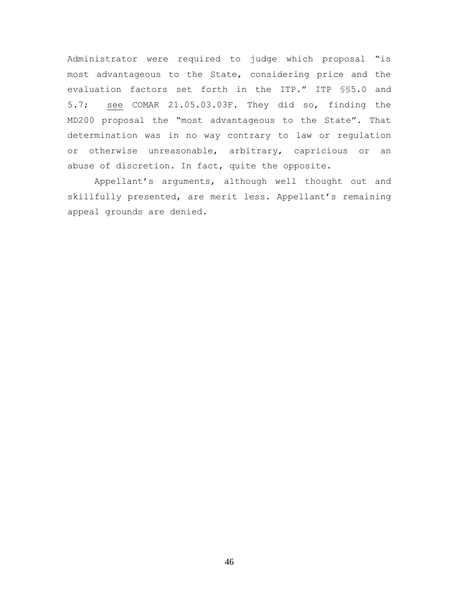Administrator were required to judge which proposal "is most advantageous to the State, considering price and the evaluation factors set forth in the ITP." ITP §§5.0 and 5.7; see COMAR 21.05.03.03F. They did so, finding the MD200 proposal the "most advantageous to the State". That determination was in no way contrary to law or regulation or otherwise unreasonable, arbitrary, capricious or an abuse of discretion. In fact, quite the opposite.

Appellant's arguments, although well thought out and skillfully presented, are merit less. Appellant's remaining appeal grounds are denied.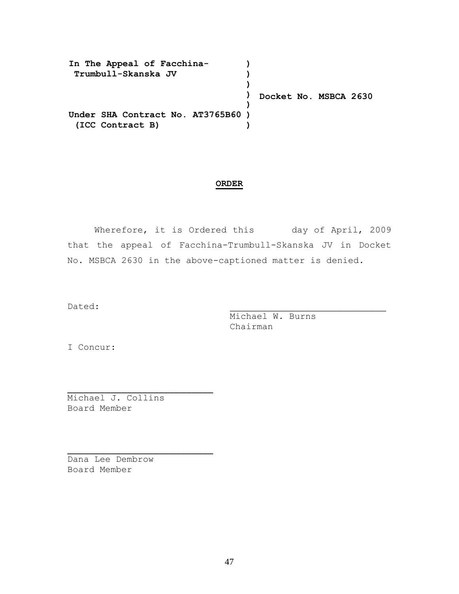| In The Appeal of Facchina-        |                       |
|-----------------------------------|-----------------------|
| Trumbull-Skanska JV               |                       |
|                                   |                       |
|                                   | Docket No. MSBCA 2630 |
|                                   |                       |
| Under SHA Contract No. AT3765B60) |                       |
| (ICC Contract B)                  |                       |

## **ORDER**

Wherefore, it is Ordered this day of April, 2009 that the appeal of Facchina-Trumbull-Skanska JV in Docket No. MSBCA 2630 in the above-captioned matter is denied.

Dated: \_\_\_\_\_\_\_\_\_\_\_\_\_\_\_\_\_\_\_\_\_\_\_\_\_\_\_\_\_

Michael W. Burns Chairman

I Concur:

Michael J. Collins Board Member

 $\mathcal{L}_\text{max}$  and  $\mathcal{L}_\text{max}$  and  $\mathcal{L}_\text{max}$  and  $\mathcal{L}_\text{max}$ 

 $\mathcal{L}_\text{max}$  and  $\mathcal{L}_\text{max}$  and  $\mathcal{L}_\text{max}$  and  $\mathcal{L}_\text{max}$ 

Dana Lee Dembrow Board Member